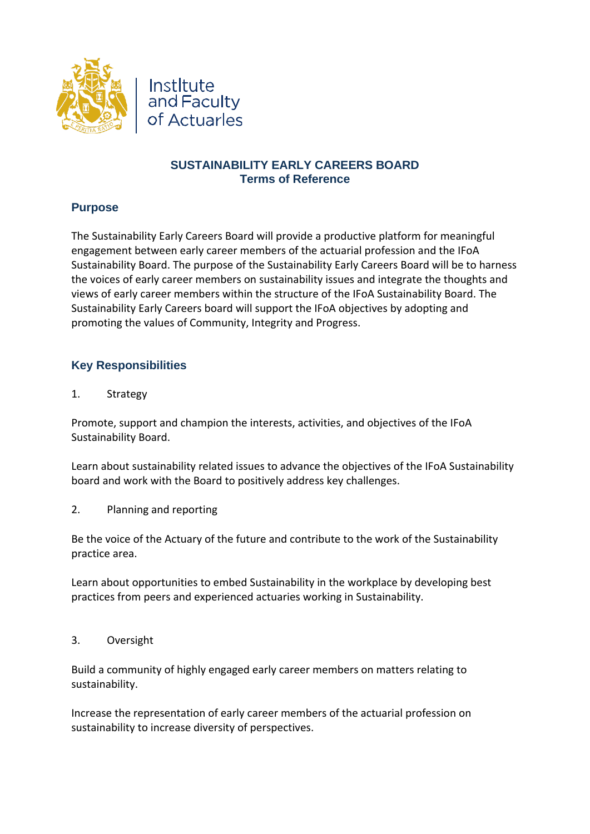



## **SUSTAINABILITY EARLY CAREERS BOARD Terms of Reference**

## **Purpose**

The Sustainability Early Careers Board will provide a productive platform for meaningful engagement between early career members of the actuarial profession and the IFoA Sustainability Board. The purpose of the Sustainability Early Careers Board will be to harness the voices of early career members on sustainability issues and integrate the thoughts and views of early career members within the structure of the IFoA Sustainability Board. The Sustainability Early Careers board will support the IFoA objectives by adopting and promoting the values of Community, Integrity and Progress.

# **Key Responsibilities**

1. Strategy

Promote, support and champion the interests, activities, and objectives of the IFoA Sustainability Board.

Learn about sustainability related issues to advance the objectives of the IFoA Sustainability board and work with the Board to positively address key challenges.

2. Planning and reporting

Be the voice of the Actuary of the future and contribute to the work of the Sustainability practice area.

Learn about opportunities to embed Sustainability in the workplace by developing best practices from peers and experienced actuaries working in Sustainability.

3. Oversight

Build a community of highly engaged early career members on matters relating to sustainability.

Increase the representation of early career members of the actuarial profession on sustainability to increase diversity of perspectives.